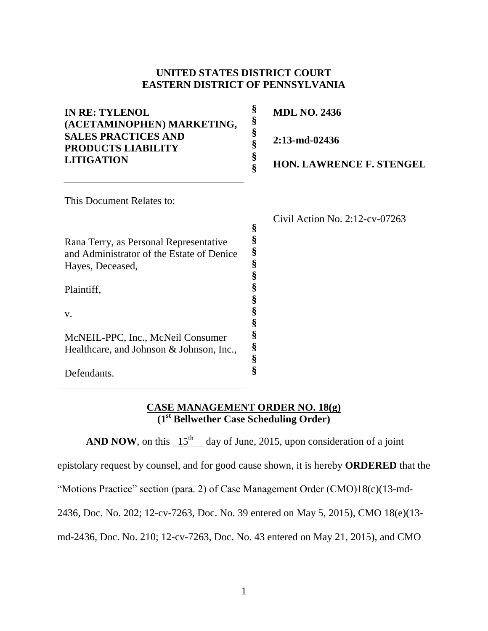## **UNITED STATES DISTRICT COURT EASTERN DISTRICT OF PENNSYLVANIA**

| <b>IN RE: TYLENOL</b><br>(ACETAMINOPHEN) MARKETING,                                                     | \$     | <b>MDL NO. 2436</b>               |
|---------------------------------------------------------------------------------------------------------|--------|-----------------------------------|
| <b>SALES PRACTICES AND</b><br><b>PRODUCTS LIABILITY</b><br><b>LITIGATION</b>                            | §<br>ş | $2:13$ -md-02436                  |
|                                                                                                         |        | <b>HON. LAWRENCE F. STENGEL</b>   |
| This Document Relates to:                                                                               |        |                                   |
|                                                                                                         |        | Civil Action No. $2:12$ -cv-07263 |
| Rana Terry, as Personal Representative<br>and Administrator of the Estate of Denice<br>Hayes, Deceased, | §<br>§ |                                   |
| Plaintiff.                                                                                              |        |                                   |

**§ § § § § § §**

v.

Defendants.

McNEIL-PPC, Inc., McNeil Consumer Healthcare, and Johnson & Johnson, Inc.,

## **CASE MANAGEMENT ORDER NO. 18(g) (1st Bellwether Case Scheduling Order)**

**AND NOW**, on this  $15<sup>th</sup>$  day of June, 2015, upon consideration of a joint

epistolary request by counsel, and for good cause shown, it is hereby **ORDERED** that the

"Motions Practice" section (para. 2) of Case Management Order (CMO)18(c)(13-md-

2436, Doc. No. 202; 12-cv-7263, Doc. No. 39 entered on May 5, 2015), CMO 18(e)(13-

md-2436, Doc. No. 210; 12-cv-7263, Doc. No. 43 entered on May 21, 2015), and CMO